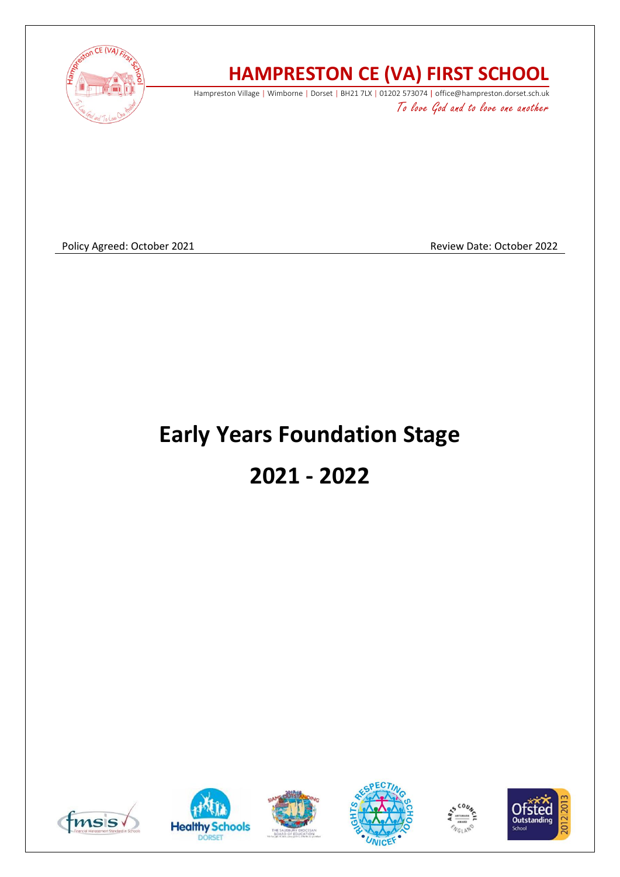

# **HAMPRESTON CE (VA) FIRST SCHOOL**

Hampreston Village | Wimborne | Dorset | BH21 7LX | 01202 573074 | office@hampreston.dorset.sch.uk To love God and to love one another

Policy Agreed: October 2021 **Review Date: October 2022** Review Date: October 2022

# **Early Years Foundation Stage 2021 - 2022**











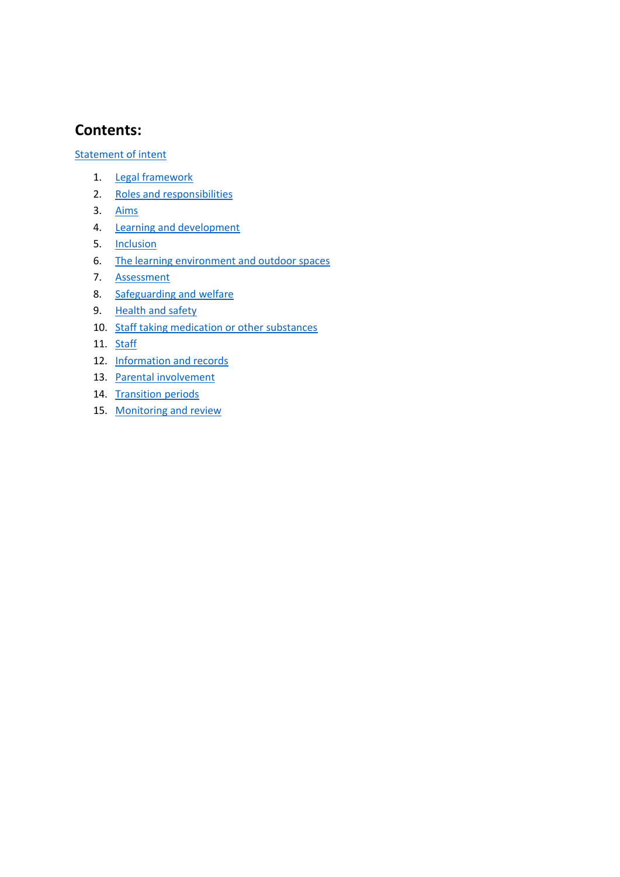#### **Contents:**

Statement of intent

- 1. Legal framework
- 2. [Roles and responsibilities](#page-3-0)
- 3. [Aims](#page-4-0)
- 4. [Learning and development](#page-5-0)
- 5. [Inclusion](#page-6-0)
- 6. [The learning environment and outdoor spaces](#page-6-1)
- 7. [Assessment](#page-7-0)
- 8. [Safeguarding and welfare](#page-7-1)
- 9. Health and safety
- 10. Staff taking medication or other substances
- 11. [Staff](#page-9-0)
- 12. [Information and records](#page-9-1)
- 13. [Parental involvement](#page-9-1)
- 14. [Transition periods](#page-10-0)
- 15. [Monitoring and review](#page-10-1)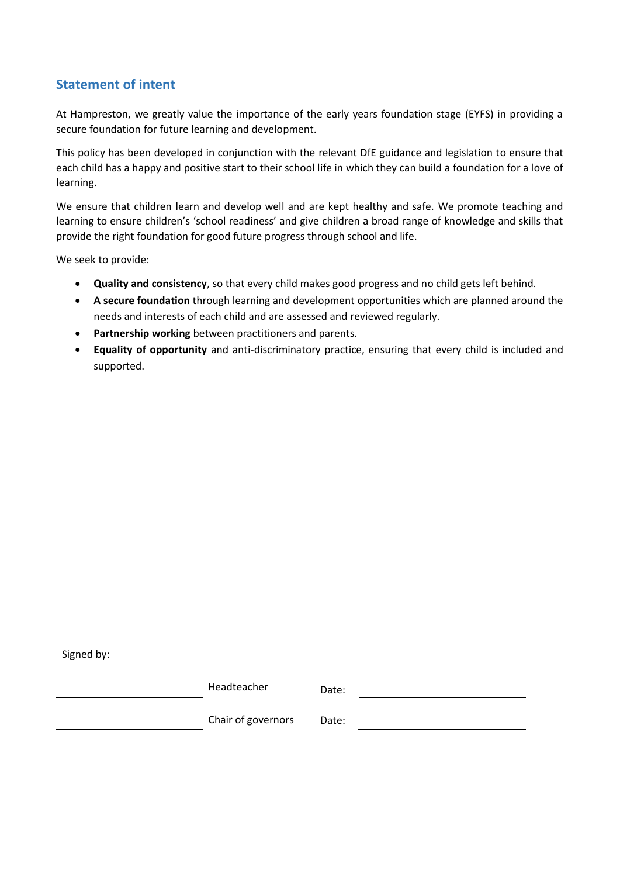#### **Statement of intent**

At Hampreston, we greatly value the importance of the early years foundation stage (EYFS) in providing a secure foundation for future learning and development.

This policy has been developed in conjunction with the relevant DfE guidance and legislation to ensure that each child has a happy and positive start to their school life in which they can build a foundation for a love of learning.

We ensure that children learn and develop well and are kept healthy and safe. We promote teaching and learning to ensure children's 'school readiness' and give children a broad range of knowledge and skills that provide the right foundation for good future progress through school and life.

We seek to provide:

- **Quality and consistency**, so that every child makes good progress and no child gets left behind.
- **A secure foundation** through learning and development opportunities which are planned around the needs and interests of each child and are assessed and reviewed regularly.
- **Partnership working** between practitioners and parents.
- **Equality of opportunity** and anti-discriminatory practice, ensuring that every child is included and supported.

Signed by:

| Headteacher        | Date: |
|--------------------|-------|
| Chair of governors | Date: |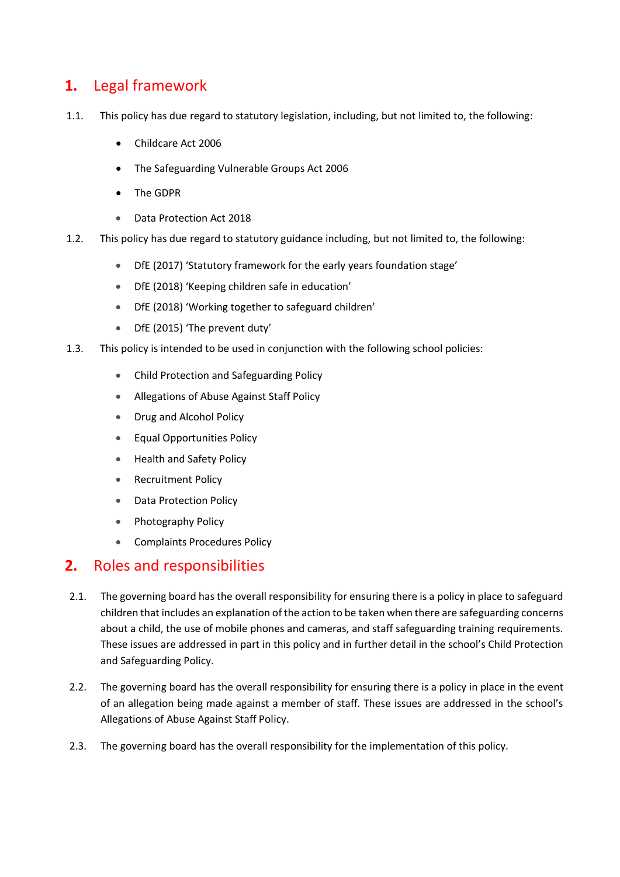#### **1.** Legal framework

- 1.1. This policy has due regard to statutory legislation, including, but not limited to, the following:
	- Childcare Act 2006
	- The Safeguarding Vulnerable Groups Act 2006
	- The GDPR
	- Data Protection Act 2018
- 1.2. This policy has due regard to statutory guidance including, but not limited to, the following:
	- DfE (2017) 'Statutory framework for the early years foundation stage'
	- DfE (2018) 'Keeping children safe in education'
	- DfE (2018) 'Working together to safeguard children'
	- DfE (2015) 'The prevent duty'
- 1.3. This policy is intended to be used in conjunction with the following school policies:
	- Child Protection and Safeguarding Policy
	- Allegations of Abuse Against Staff Policy
	- Drug and Alcohol Policy
	- Equal Opportunities Policy
	- Health and Safety Policy
	- Recruitment Policy
	- Data Protection Policy
	- Photography Policy
	- Complaints Procedures Policy

#### <span id="page-3-0"></span>**2.** Roles and responsibilities

- 2.1. The governing board has the overall responsibility for ensuring there is a policy in place to safeguard children that includes an explanation of the action to be taken when there are safeguarding concerns about a child, the use of mobile phones and cameras, and staff safeguarding training requirements. These issues are addressed in part in this policy and in further detail in the school's Child Protection and Safeguarding Policy.
- 2.2. The governing board has the overall responsibility for ensuring there is a policy in place in the event of an allegation being made against a member of staff. These issues are addressed in the school's Allegations of Abuse Against Staff Policy.
- 2.3. The governing board has the overall responsibility for the implementation of this policy.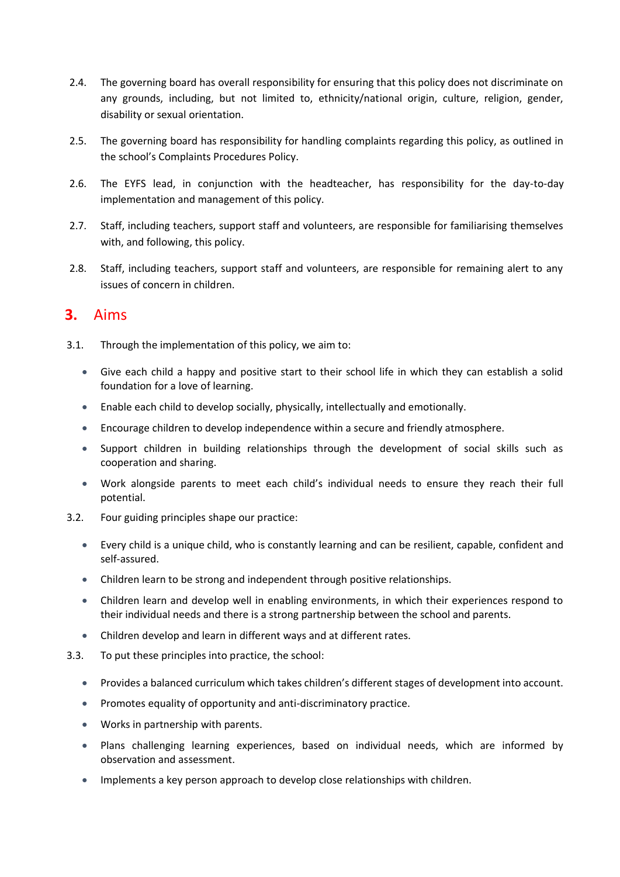- 2.4. The governing board has overall responsibility for ensuring that this policy does not discriminate on any grounds, including, but not limited to, ethnicity/national origin, culture, religion, gender, disability or sexual orientation.
- 2.5. The governing board has responsibility for handling complaints regarding this policy, as outlined in the school's Complaints Procedures Policy.
- 2.6. The EYFS lead, in conjunction with the headteacher, has responsibility for the day-to-day implementation and management of this policy.
- 2.7. Staff, including teachers, support staff and volunteers, are responsible for familiarising themselves with, and following, this policy.
- 2.8. Staff, including teachers, support staff and volunteers, are responsible for remaining alert to any issues of concern in children.

#### <span id="page-4-0"></span>**3.** Aims

- 3.1. Through the implementation of this policy, we aim to:
	- Give each child a happy and positive start to their school life in which they can establish a solid foundation for a love of learning.
	- Enable each child to develop socially, physically, intellectually and emotionally.
	- Encourage children to develop independence within a secure and friendly atmosphere.
	- Support children in building relationships through the development of social skills such as cooperation and sharing.
	- Work alongside parents to meet each child's individual needs to ensure they reach their full potential.
- 3.2. Four guiding principles shape our practice:
	- Every child is a unique child, who is constantly learning and can be resilient, capable, confident and self-assured.
	- Children learn to be strong and independent through positive relationships.
	- Children learn and develop well in enabling environments, in which their experiences respond to their individual needs and there is a strong partnership between the school and parents.
	- Children develop and learn in different ways and at different rates.
- 3.3. To put these principles into practice, the school:
	- Provides a balanced curriculum which takes children's different stages of development into account.
	- Promotes equality of opportunity and anti-discriminatory practice.
	- Works in partnership with parents.
	- Plans challenging learning experiences, based on individual needs, which are informed by observation and assessment.
	- Implements a key person approach to develop close relationships with children.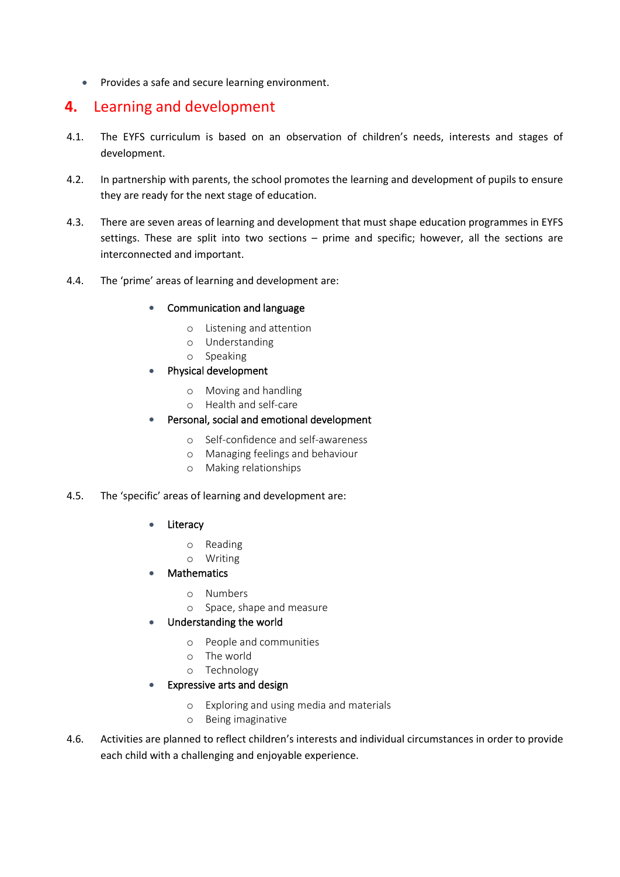• Provides a safe and secure learning environment.

#### <span id="page-5-0"></span>**4.** Learning and development

- 4.1. The EYFS curriculum is based on an observation of children's needs, interests and stages of development.
- 4.2. In partnership with parents, the school promotes the learning and development of pupils to ensure they are ready for the next stage of education.
- 4.3. There are seven areas of learning and development that must shape education programmes in EYFS settings. These are split into two sections – prime and specific; however, all the sections are interconnected and important.
- 4.4. The 'prime' areas of learning and development are:
	- Communication and language
		- o Listening and attention
		- o Understanding
		- o Speaking
	- Physical development
		- o Moving and handling
		- o Health and self-care

#### • Personal, social and emotional development

- o Self-confidence and self-awareness
- o Managing feelings and behaviour
- o Making relationships

#### 4.5. The 'specific' areas of learning and development are:

- **Literacy** 
	- o Reading
	- o Writing
- **Mathematics** 
	- o Numbers
	- o Space, shape and measure
- Understanding the world
	- o People and communities
	- o The world
	- o Technology
- Expressive arts and design
	- o Exploring and using media and materials
	- o Being imaginative
- 4.6. Activities are planned to reflect children's interests and individual circumstances in order to provide each child with a challenging and enjoyable experience.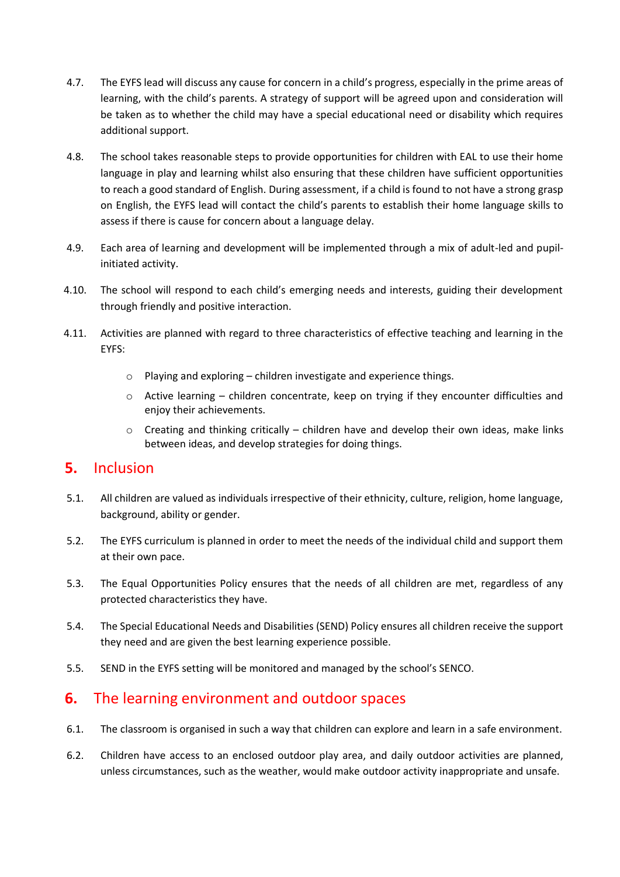- 4.7. The EYFS lead will discuss any cause for concern in a child's progress, especially in the prime areas of learning, with the child's parents. A strategy of support will be agreed upon and consideration will be taken as to whether the child may have a special educational need or disability which requires additional support.
- 4.8. The school takes reasonable steps to provide opportunities for children with EAL to use their home language in play and learning whilst also ensuring that these children have sufficient opportunities to reach a good standard of English. During assessment, if a child is found to not have a strong grasp on English, the EYFS lead will contact the child's parents to establish their home language skills to assess if there is cause for concern about a language delay.
- 4.9. Each area of learning and development will be implemented through a mix of adult-led and pupilinitiated activity.
- 4.10. The school will respond to each child's emerging needs and interests, guiding their development through friendly and positive interaction.
- 4.11. Activities are planned with regard to three characteristics of effective teaching and learning in the EYFS:
	- o Playing and exploring children investigate and experience things.
	- $\circ$  Active learning children concentrate, keep on trying if they encounter difficulties and enjoy their achievements.
	- $\circ$  Creating and thinking critically children have and develop their own ideas, make links between ideas, and develop strategies for doing things.

#### <span id="page-6-0"></span>**5.** Inclusion

- 5.1. All children are valued as individuals irrespective of their ethnicity, culture, religion, home language, background, ability or gender.
- 5.2. The EYFS curriculum is planned in order to meet the needs of the individual child and support them at their own pace.
- 5.3. The Equal Opportunities Policy ensures that the needs of all children are met, regardless of any protected characteristics they have.
- 5.4. The Special Educational Needs and Disabilities (SEND) Policy ensures all children receive the support they need and are given the best learning experience possible.
- 5.5. SEND in the EYFS setting will be monitored and managed by the school's SENCO.

#### <span id="page-6-1"></span>**6.** The learning environment and outdoor spaces

- 6.1. The classroom is organised in such a way that children can explore and learn in a safe environment.
- 6.2. Children have access to an enclosed outdoor play area, and daily outdoor activities are planned, unless circumstances, such as the weather, would make outdoor activity inappropriate and unsafe.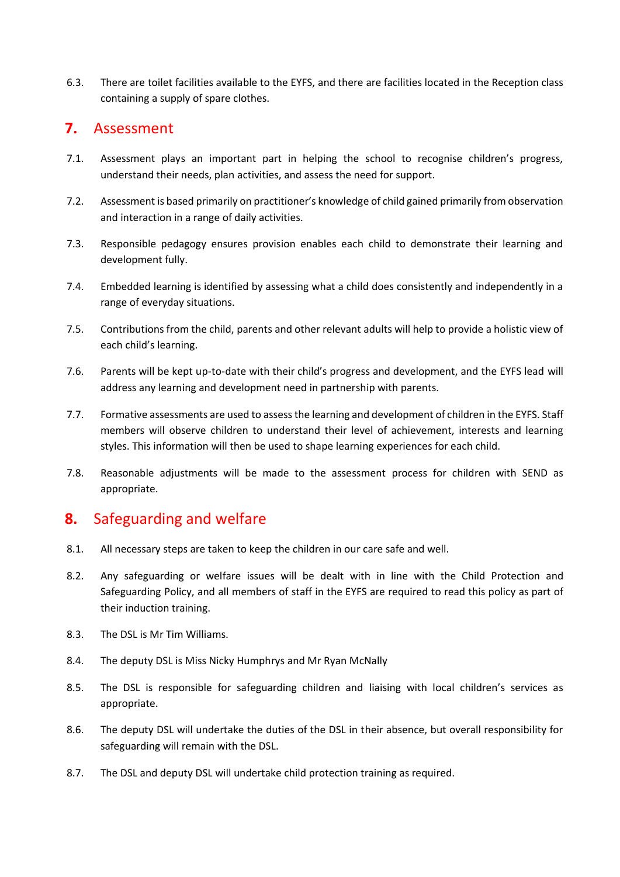6.3. There are toilet facilities available to the EYFS, and there are facilities located in the Reception class containing a supply of spare clothes.

#### <span id="page-7-0"></span>**7.** Assessment

- 7.1. Assessment plays an important part in helping the school to recognise children's progress, understand their needs, plan activities, and assess the need for support.
- 7.2. Assessment is based primarily on practitioner's knowledge of child gained primarily from observation and interaction in a range of daily activities.
- 7.3. Responsible pedagogy ensures provision enables each child to demonstrate their learning and development fully.
- 7.4. Embedded learning is identified by assessing what a child does consistently and independently in a range of everyday situations.
- 7.5. Contributions from the child, parents and other relevant adults will help to provide a holistic view of each child's learning.
- 7.6. Parents will be kept up-to-date with their child's progress and development, and the EYFS lead will address any learning and development need in partnership with parents.
- 7.7. Formative assessments are used to assess the learning and development of children in the EYFS. Staff members will observe children to understand their level of achievement, interests and learning styles. This information will then be used to shape learning experiences for each child.
- 7.8. Reasonable adjustments will be made to the assessment process for children with SEND as appropriate.

## <span id="page-7-1"></span>**8.** Safeguarding and welfare

- 8.1. All necessary steps are taken to keep the children in our care safe and well.
- 8.2. Any safeguarding or welfare issues will be dealt with in line with the Child Protection and Safeguarding Policy, and all members of staff in the EYFS are required to read this policy as part of their induction training.
- 8.3. The DSL is Mr Tim Williams.
- 8.4. The deputy DSL is Miss Nicky Humphrys and Mr Ryan McNally
- 8.5. The DSL is responsible for safeguarding children and liaising with local children's services as appropriate.
- 8.6. The deputy DSL will undertake the duties of the DSL in their absence, but overall responsibility for safeguarding will remain with the DSL.
- 8.7. The DSL and deputy DSL will undertake child protection training as required.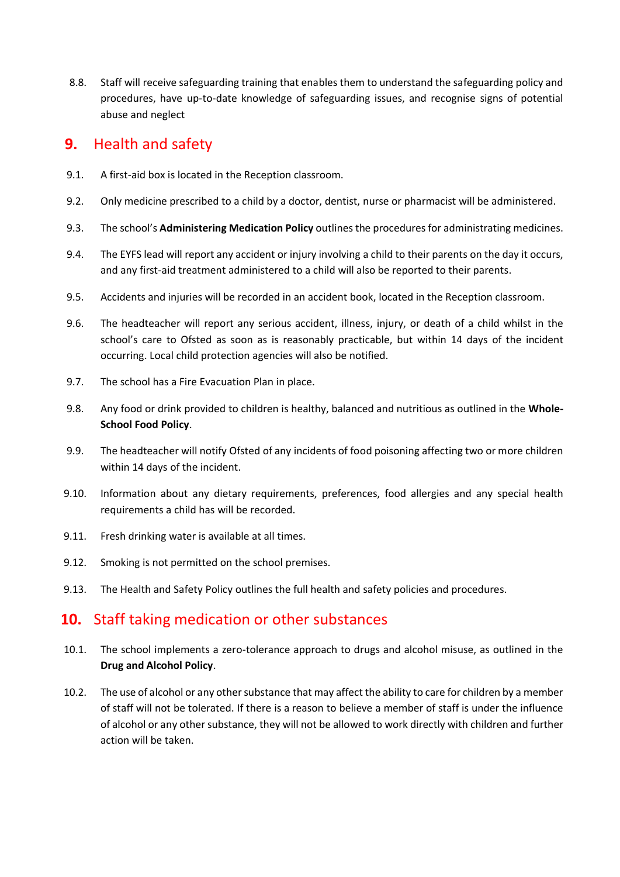8.8. Staff will receive safeguarding training that enables them to understand the safeguarding policy and procedures, have up-to-date knowledge of safeguarding issues, and recognise signs of potential abuse and neglect

#### <span id="page-8-0"></span>**9.** Health and safety

- 9.1. A first-aid box is located in the Reception classroom.
- 9.2. Only medicine prescribed to a child by a doctor, dentist, nurse or pharmacist will be administered.
- 9.3. The school's **Administering Medication Policy** outlines the procedures for administrating medicines.
- 9.4. The EYFS lead will report any accident or injury involving a child to their parents on the day it occurs, and any first-aid treatment administered to a child will also be reported to their parents.
- 9.5. Accidents and injuries will be recorded in an accident book, located in the Reception classroom.
- 9.6. The headteacher will report any serious accident, illness, injury, or death of a child whilst in the school's care to Ofsted as soon as is reasonably practicable, but within 14 days of the incident occurring. Local child protection agencies will also be notified.
- 9.7. The school has a Fire Evacuation Plan in place.
- 9.8. Any food or drink provided to children is healthy, balanced and nutritious as outlined in the **Whole-School Food Policy**.
- 9.9. The headteacher will notify Ofsted of any incidents of food poisoning affecting two or more children within 14 days of the incident.
- 9.10. Information about any dietary requirements, preferences, food allergies and any special health requirements a child has will be recorded.
- 9.11. Fresh drinking water is available at all times.
- 9.12. Smoking is not permitted on the school premises.
- 9.13. The Health and Safety Policy outlines the full health and safety policies and procedures.

#### **10.** Staff taking medication or other substances

- 10.1. The school implements a zero-tolerance approach to drugs and alcohol misuse, as outlined in the **Drug and Alcohol Policy**.
- 10.2. The use of alcohol or any other substance that may affect the ability to care for children by a member of staff will not be tolerated. If there is a reason to believe a member of staff is under the influence of alcohol or any other substance, they will not be allowed to work directly with children and further action will be taken.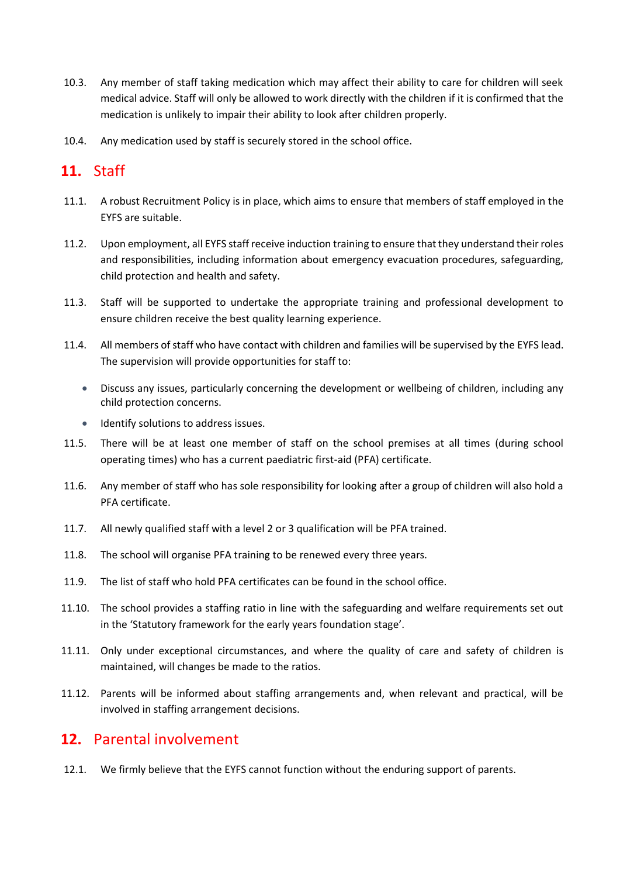- 10.3. Any member of staff taking medication which may affect their ability to care for children will seek medical advice. Staff will only be allowed to work directly with the children if it is confirmed that the medication is unlikely to impair their ability to look after children properly.
- 10.4. Any medication used by staff is securely stored in the school office.

## <span id="page-9-0"></span>**11.** Staff

- 11.1. A robust Recruitment Policy is in place, which aims to ensure that members of staff employed in the EYFS are suitable.
- 11.2. Upon employment, all EYFS staff receive induction training to ensure that they understand their roles and responsibilities, including information about emergency evacuation procedures, safeguarding, child protection and health and safety.
- 11.3. Staff will be supported to undertake the appropriate training and professional development to ensure children receive the best quality learning experience.
- 11.4. All members of staff who have contact with children and families will be supervised by the EYFS lead. The supervision will provide opportunities for staff to:
	- Discuss any issues, particularly concerning the development or wellbeing of children, including any child protection concerns.
	- Identify solutions to address issues.
- 11.5. There will be at least one member of staff on the school premises at all times (during school operating times) who has a current paediatric first-aid (PFA) certificate.
- 11.6. Any member of staff who has sole responsibility for looking after a group of children will also hold a PFA certificate.
- 11.7. All newly qualified staff with a level 2 or 3 qualification will be PFA trained.
- 11.8. The school will organise PFA training to be renewed every three years.
- 11.9. The list of staff who hold PFA certificates can be found in the school office.
- 11.10. The school provides a staffing ratio in line with the safeguarding and welfare requirements set out in the 'Statutory framework for the early years foundation stage'.
- 11.11. Only under exceptional circumstances, and where the quality of care and safety of children is maintained, will changes be made to the ratios.
- 11.12. Parents will be informed about staffing arrangements and, when relevant and practical, will be involved in staffing arrangement decisions.

#### <span id="page-9-1"></span>**12.** Parental involvement

12.1. We firmly believe that the EYFS cannot function without the enduring support of parents.